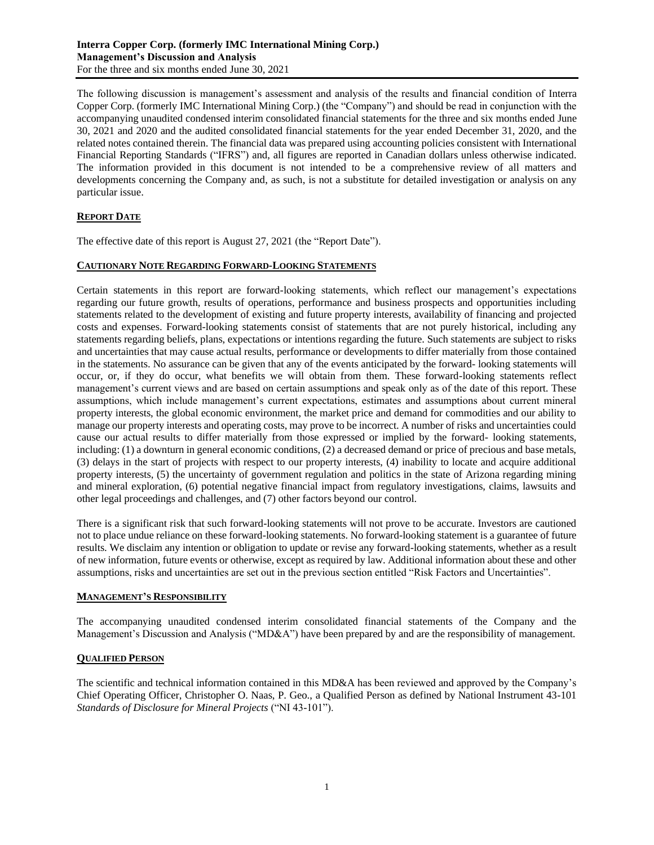The following discussion is management's assessment and analysis of the results and financial condition of Interra Copper Corp. (formerly IMC International Mining Corp.) (the "Company") and should be read in conjunction with the accompanying unaudited condensed interim consolidated financial statements for the three and six months ended June 30, 2021 and 2020 and the audited consolidated financial statements for the year ended December 31, 2020, and the related notes contained therein. The financial data was prepared using accounting policies consistent with International Financial Reporting Standards ("IFRS") and, all figures are reported in Canadian dollars unless otherwise indicated. The information provided in this document is not intended to be a comprehensive review of all matters and developments concerning the Company and, as such, is not a substitute for detailed investigation or analysis on any particular issue.

# **REPORT DATE**

The effective date of this report is August 27, 2021 (the "Report Date").

# **CAUTIONARY NOTE REGARDING FORWARD-LOOKING STATEMENTS**

Certain statements in this report are forward-looking statements, which reflect our management's expectations regarding our future growth, results of operations, performance and business prospects and opportunities including statements related to the development of existing and future property interests, availability of financing and projected costs and expenses. Forward-looking statements consist of statements that are not purely historical, including any statements regarding beliefs, plans, expectations or intentions regarding the future. Such statements are subject to risks and uncertainties that may cause actual results, performance or developments to differ materially from those contained in the statements. No assurance can be given that any of the events anticipated by the forward- looking statements will occur, or, if they do occur, what benefits we will obtain from them. These forward-looking statements reflect management's current views and are based on certain assumptions and speak only as of the date of this report. These assumptions, which include management's current expectations, estimates and assumptions about current mineral property interests, the global economic environment, the market price and demand for commodities and our ability to manage our property interests and operating costs, may prove to be incorrect. A number of risks and uncertainties could cause our actual results to differ materially from those expressed or implied by the forward- looking statements, including: (1) a downturn in general economic conditions, (2) a decreased demand or price of precious and base metals, (3) delays in the start of projects with respect to our property interests, (4) inability to locate and acquire additional property interests, (5) the uncertainty of government regulation and politics in the state of Arizona regarding mining and mineral exploration, (6) potential negative financial impact from regulatory investigations, claims, lawsuits and other legal proceedings and challenges, and (7) other factors beyond our control.

There is a significant risk that such forward-looking statements will not prove to be accurate. Investors are cautioned not to place undue reliance on these forward-looking statements. No forward-looking statement is a guarantee of future results. We disclaim any intention or obligation to update or revise any forward-looking statements, whether as a result of new information, future events or otherwise, except as required by law. Additional information about these and other assumptions, risks and uncertainties are set out in the previous section entitled "Risk Factors and Uncertainties".

### **MANAGEMENT'S RESPONSIBILITY**

The accompanying unaudited condensed interim consolidated financial statements of the Company and the Management's Discussion and Analysis ("MD&A") have been prepared by and are the responsibility of management.

# **QUALIFIED PERSON**

The scientific and technical information contained in this MD&A has been reviewed and approved by the Company's Chief Operating Officer, Christopher O. Naas, P. Geo., a Qualified Person as defined by National Instrument 43-101 *Standards of Disclosure for Mineral Projects* ("NI 43-101").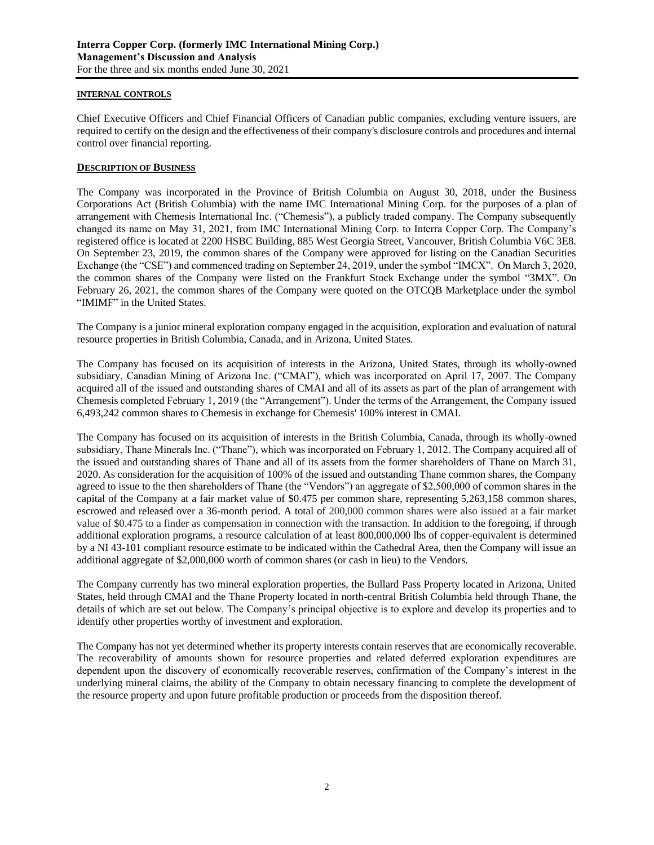# **INTERNAL CONTROLS**

Chief Executive Officers and Chief Financial Officers of Canadian public companies, excluding venture issuers, are required to certify on the design and the effectiveness of their company's disclosure controls and procedures and internal control over financial reporting.

# **DESCRIPTION OF BUSINESS**

The Company was incorporated in the Province of British Columbia on August 30, 2018, under the Business Corporations Act (British Columbia) with the name IMC International Mining Corp. for the purposes of a plan of arrangement with Chemesis International Inc. ("Chemesis"), a publicly traded company. The Company subsequently changed its name on May 31, 2021, from IMC International Mining Corp. to Interra Copper Corp. The Company's registered office is located at 2200 HSBC Building, 885 West Georgia Street, Vancouver, British Columbia V6C 3E8. On September 23, 2019, the common shares of the Company were approved for listing on the Canadian Securities Exchange (the "CSE") and commenced trading on September 24, 2019, under the symbol "IMCX". On March 3, 2020, the common shares of the Company were listed on the Frankfurt Stock Exchange under the symbol "3MX". On February 26, 2021, the common shares of the Company were quoted on the OTCQB Marketplace under the symbol "IMIMF" in the United States.

The Company is a junior mineral exploration company engaged in the acquisition, exploration and evaluation of natural resource properties in British Columbia, Canada, and in Arizona, United States.

The Company has focused on its acquisition of interests in the Arizona, United States, through its wholly-owned subsidiary, Canadian Mining of Arizona Inc. ("CMAI"), which was incorporated on April 17, 2007. The Company acquired all of the issued and outstanding shares of CMAI and all of its assets as part of the plan of arrangement with Chemesis completed February 1, 2019 (the "Arrangement"). Under the terms of the Arrangement, the Company issued 6,493,242 common shares to Chemesis in exchange for Chemesis' 100% interest in CMAI.

The Company has focused on its acquisition of interests in the British Columbia, Canada, through its wholly-owned subsidiary, Thane Minerals Inc. ("Thane"), which was incorporated on February 1, 2012. The Company acquired all of the issued and outstanding shares of Thane and all of its assets from the former shareholders of Thane on March 31, 2020. As consideration for the acquisition of 100% of the issued and outstanding Thane common shares, the Company agreed to issue to the then shareholders of Thane (the "Vendors") an aggregate of \$2,500,000 of common shares in the capital of the Company at a fair market value of \$0.475 per common share, representing 5,263,158 common shares, escrowed and released over a 36-month period. A total of 200,000 common shares were also issued at a fair market value of \$0.475 to a finder as compensation in connection with the transaction. In addition to the foregoing, if through additional exploration programs, a resource calculation of at least 800,000,000 lbs of copper-equivalent is determined by a NI 43-101 compliant resource estimate to be indicated within the Cathedral Area, then the Company will issue an additional aggregate of \$2,000,000 worth of common shares (or cash in lieu) to the Vendors.

The Company currently has two mineral exploration properties, the Bullard Pass Property located in Arizona, United States, held through CMAI and the Thane Property located in north-central British Columbia held through Thane, the details of which are set out below. The Company's principal objective is to explore and develop its properties and to identify other properties worthy of investment and exploration.

The Company has not yet determined whether its property interests contain reserves that are economically recoverable. The recoverability of amounts shown for resource properties and related deferred exploration expenditures are dependent upon the discovery of economically recoverable reserves, confirmation of the Company's interest in the underlying mineral claims, the ability of the Company to obtain necessary financing to complete the development of the resource property and upon future profitable production or proceeds from the disposition thereof.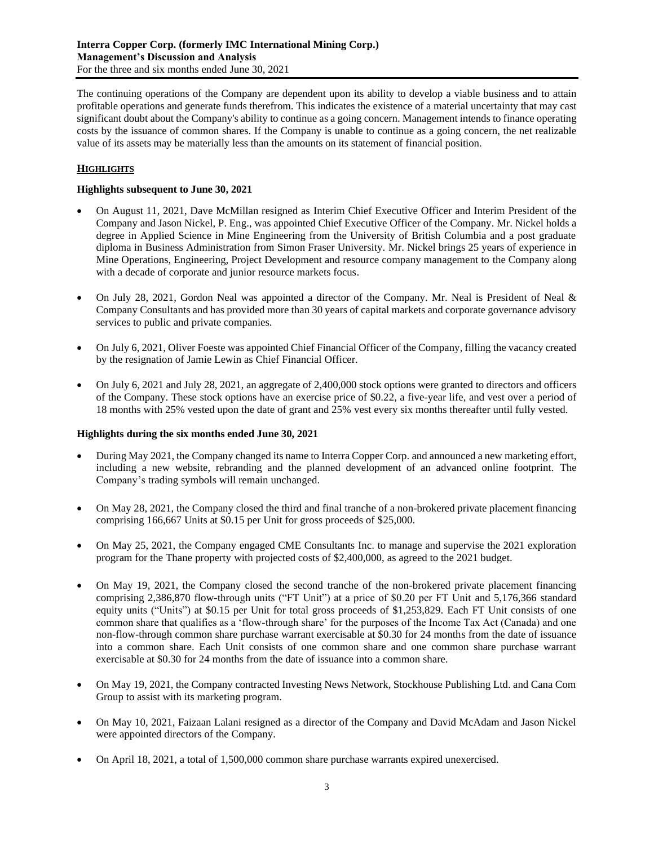The continuing operations of the Company are dependent upon its ability to develop a viable business and to attain profitable operations and generate funds therefrom. This indicates the existence of a material uncertainty that may cast significant doubt about the Company's ability to continue as a going concern. Management intends to finance operating costs by the issuance of common shares. If the Company is unable to continue as a going concern, the net realizable value of its assets may be materially less than the amounts on its statement of financial position.

# **HIGHLIGHTS**

# **Highlights subsequent to June 30, 2021**

- On August 11, 2021, Dave McMillan resigned as Interim Chief Executive Officer and Interim President of the Company and Jason Nickel, P. Eng., was appointed Chief Executive Officer of the Company. Mr. Nickel holds a degree in Applied Science in Mine Engineering from the University of British Columbia and a post graduate diploma in Business Administration from Simon Fraser University. Mr. Nickel brings 25 years of experience in Mine Operations, Engineering, Project Development and resource company management to the Company along with a decade of corporate and junior resource markets focus.
- On July 28, 2021, Gordon Neal was appointed a director of the Company. Mr. Neal is President of Neal & Company Consultants and has provided more than 30 years of capital markets and corporate governance advisory services to public and private companies.
- On July 6, 2021, Oliver Foeste was appointed Chief Financial Officer of the Company, filling the vacancy created by the resignation of Jamie Lewin as Chief Financial Officer.
- On July 6, 2021 and July 28, 2021, an aggregate of 2,400,000 stock options were granted to directors and officers of the Company. These stock options have an exercise price of \$0.22, a five-year life, and vest over a period of 18 months with 25% vested upon the date of grant and 25% vest every six months thereafter until fully vested.

# **Highlights during the six months ended June 30, 2021**

- During May 2021, the Company changed its name to Interra Copper Corp. and announced a new marketing effort, including a new website, rebranding and the planned development of an advanced online footprint. The Company's trading symbols will remain unchanged.
- On May 28, 2021, the Company closed the third and final tranche of a non-brokered private placement financing comprising 166,667 Units at \$0.15 per Unit for gross proceeds of \$25,000.
- On May 25, 2021, the Company engaged CME Consultants Inc. to manage and supervise the 2021 exploration program for the Thane property with projected costs of \$2,400,000, as agreed to the 2021 budget.
- On May 19, 2021, the Company closed the second tranche of the non-brokered private placement financing comprising 2,386,870 flow-through units ("FT Unit") at a price of \$0.20 per FT Unit and 5,176,366 standard equity units ("Units") at \$0.15 per Unit for total gross proceeds of \$1,253,829. Each FT Unit consists of one common share that qualifies as a 'flow-through share' for the purposes of the Income Tax Act (Canada) and one non-flow-through common share purchase warrant exercisable at \$0.30 for 24 months from the date of issuance into a common share. Each Unit consists of one common share and one common share purchase warrant exercisable at \$0.30 for 24 months from the date of issuance into a common share.
- On May 19, 2021, the Company contracted Investing News Network, Stockhouse Publishing Ltd. and Cana Com Group to assist with its marketing program.
- On May 10, 2021, Faizaan Lalani resigned as a director of the Company and David McAdam and Jason Nickel were appointed directors of the Company.
- On April 18, 2021, a total of 1,500,000 common share purchase warrants expired unexercised.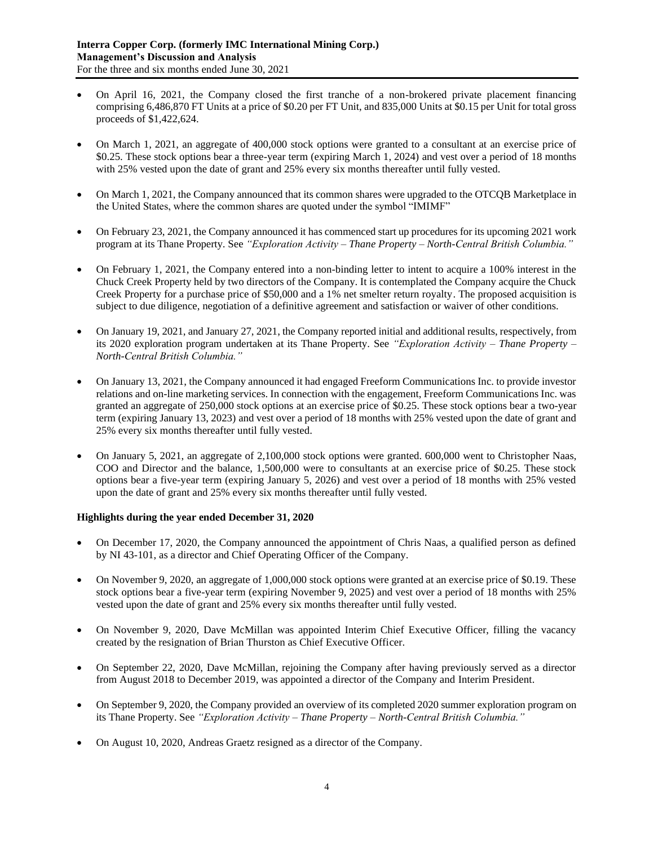- On April 16, 2021, the Company closed the first tranche of a non-brokered private placement financing comprising 6,486,870 FT Units at a price of \$0.20 per FT Unit, and 835,000 Units at \$0.15 per Unit for total gross proceeds of \$1,422,624.
- On March 1, 2021, an aggregate of 400,000 stock options were granted to a consultant at an exercise price of \$0.25. These stock options bear a three-year term (expiring March 1, 2024) and vest over a period of 18 months with 25% vested upon the date of grant and 25% every six months thereafter until fully vested.
- On March 1, 2021, the Company announced that its common shares were upgraded to the OTCQB Marketplace in the United States, where the common shares are quoted under the symbol "IMIMF"
- On February 23, 2021, the Company announced it has commenced start up procedures for its upcoming 2021 work program at its Thane Property. See *"Exploration Activity – Thane Property – North-Central British Columbia."*
- On February 1, 2021, the Company entered into a non-binding letter to intent to acquire a 100% interest in the Chuck Creek Property held by two directors of the Company. It is contemplated the Company acquire the Chuck Creek Property for a purchase price of \$50,000 and a 1% net smelter return royalty. The proposed acquisition is subject to due diligence, negotiation of a definitive agreement and satisfaction or waiver of other conditions.
- On January 19, 2021, and January 27, 2021, the Company reported initial and additional results, respectively, from its 2020 exploration program undertaken at its Thane Property. See *"Exploration Activity – Thane Property – North-Central British Columbia."*
- On January 13, 2021, the Company announced it had engaged Freeform Communications Inc. to provide investor relations and on-line marketing services. In connection with the engagement, Freeform Communications Inc. was granted an aggregate of 250,000 stock options at an exercise price of \$0.25. These stock options bear a two-year term (expiring January 13, 2023) and vest over a period of 18 months with 25% vested upon the date of grant and 25% every six months thereafter until fully vested.
- On January 5, 2021, an aggregate of 2,100,000 stock options were granted. 600,000 went to Christopher Naas, COO and Director and the balance, 1,500,000 were to consultants at an exercise price of \$0.25. These stock options bear a five-year term (expiring January 5, 2026) and vest over a period of 18 months with 25% vested upon the date of grant and 25% every six months thereafter until fully vested.

# **Highlights during the year ended December 31, 2020**

- On December 17, 2020, the Company announced the appointment of Chris Naas, a qualified person as defined by NI 43-101, as a director and Chief Operating Officer of the Company.
- On November 9, 2020, an aggregate of 1,000,000 stock options were granted at an exercise price of \$0.19. These stock options bear a five-year term (expiring November 9, 2025) and vest over a period of 18 months with 25% vested upon the date of grant and 25% every six months thereafter until fully vested.
- On November 9, 2020, Dave McMillan was appointed Interim Chief Executive Officer, filling the vacancy created by the resignation of Brian Thurston as Chief Executive Officer.
- On September 22, 2020, Dave McMillan, rejoining the Company after having previously served as a director from August 2018 to December 2019, was appointed a director of the Company and Interim President.
- On September 9, 2020, the Company provided an overview of its completed 2020 summer exploration program on its Thane Property. See *"Exploration Activity – Thane Property – North-Central British Columbia."*
- On August 10, 2020, Andreas Graetz resigned as a director of the Company.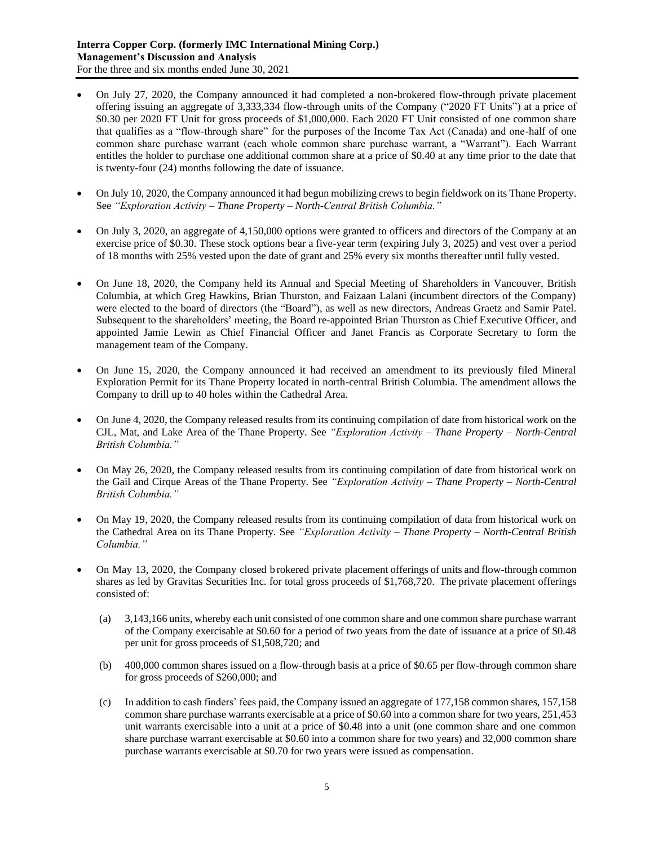- On July 27, 2020, the Company announced it had completed a non-brokered flow-through private placement offering issuing an aggregate of 3,333,334 flow-through units of the Company ("2020 FT Units") at a price of \$0.30 per 2020 FT Unit for gross proceeds of \$1,000,000. Each 2020 FT Unit consisted of one common share that qualifies as a "flow-through share" for the purposes of the Income Tax Act (Canada) and one-half of one common share purchase warrant (each whole common share purchase warrant, a "Warrant"). Each Warrant entitles the holder to purchase one additional common share at a price of \$0.40 at any time prior to the date that is twenty-four (24) months following the date of issuance.
- On July 10, 2020, the Company announced it had begun mobilizing crews to begin fieldwork on its Thane Property. See *"Exploration Activity – Thane Property – North-Central British Columbia."*
- On July 3, 2020, an aggregate of 4,150,000 options were granted to officers and directors of the Company at an exercise price of \$0.30. These stock options bear a five-year term (expiring July 3, 2025) and vest over a period of 18 months with 25% vested upon the date of grant and 25% every six months thereafter until fully vested.
- On June 18, 2020, the Company held its Annual and Special Meeting of Shareholders in Vancouver, British Columbia, at which Greg Hawkins, Brian Thurston, and Faizaan Lalani (incumbent directors of the Company) were elected to the board of directors (the "Board"), as well as new directors, Andreas Graetz and Samir Patel. Subsequent to the shareholders' meeting, the Board re-appointed Brian Thurston as Chief Executive Officer, and appointed Jamie Lewin as Chief Financial Officer and Janet Francis as Corporate Secretary to form the management team of the Company.
- On June 15, 2020, the Company announced it had received an amendment to its previously filed Mineral Exploration Permit for its Thane Property located in north-central British Columbia. The amendment allows the Company to drill up to 40 holes within the Cathedral Area.
- On June 4, 2020, the Company released results from its continuing compilation of date from historical work on the CJL, Mat, and Lake Area of the Thane Property. See *"Exploration Activity – Thane Property – North-Central British Columbia."*
- On May 26, 2020, the Company released results from its continuing compilation of date from historical work on the Gail and Cirque Areas of the Thane Property. See *"Exploration Activity – Thane Property – North-Central British Columbia."*
- On May 19, 2020, the Company released results from its continuing compilation of data from historical work on the Cathedral Area on its Thane Property. See *"Exploration Activity – Thane Property – North-Central British Columbia."*
- On May 13, 2020, the Company closed b rokered private placement offerings of units and flow-through common shares as led by Gravitas Securities Inc. for total gross proceeds of \$1,768,720. The private placement offerings consisted of:
	- (a) 3,143,166 units, whereby each unit consisted of one common share and one common share purchase warrant of the Company exercisable at \$0.60 for a period of two years from the date of issuance at a price of \$0.48 per unit for gross proceeds of \$1,508,720; and
	- (b) 400,000 common shares issued on a flow-through basis at a price of \$0.65 per flow-through common share for gross proceeds of \$260,000; and
	- (c) In addition to cash finders' fees paid, the Company issued an aggregate of 177,158 common shares, 157,158 common share purchase warrants exercisable at a price of \$0.60 into a common share for two years, 251,453 unit warrants exercisable into a unit at a price of \$0.48 into a unit (one common share and one common share purchase warrant exercisable at \$0.60 into a common share for two years) and 32,000 common share purchase warrants exercisable at \$0.70 for two years were issued as compensation.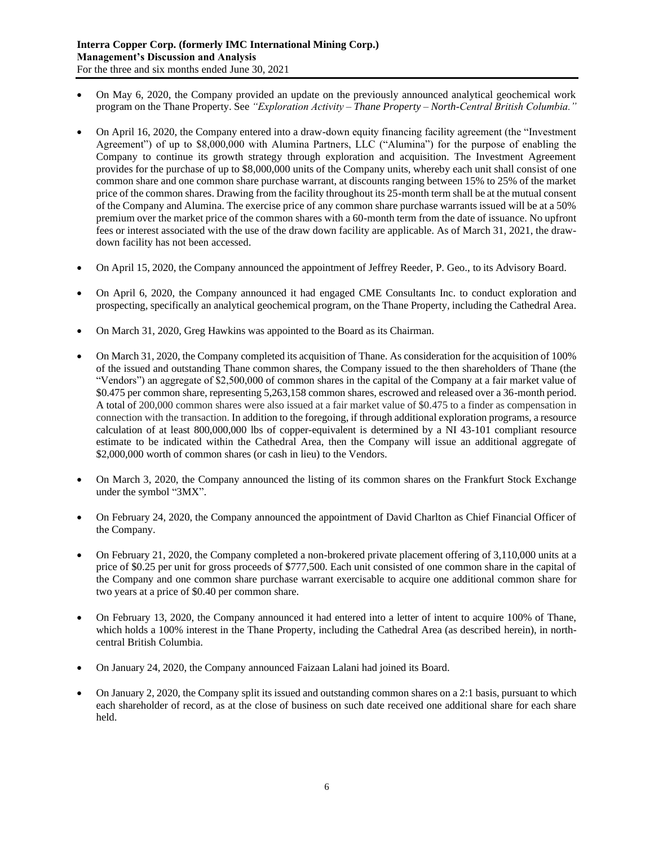- On May 6, 2020, the Company provided an update on the previously announced analytical geochemical work program on the Thane Property. See *"Exploration Activity – Thane Property – North-Central British Columbia."*
- On April 16, 2020, the Company entered into a draw-down equity financing facility agreement (the "Investment Agreement") of up to \$8,000,000 with Alumina Partners, LLC ("Alumina") for the purpose of enabling the Company to continue its growth strategy through exploration and acquisition. The Investment Agreement provides for the purchase of up to \$8,000,000 units of the Company units, whereby each unit shall consist of one common share and one common share purchase warrant, at discounts ranging between 15% to 25% of the market price of the common shares. Drawing from the facility throughout its 25-month term shall be at the mutual consent of the Company and Alumina. The exercise price of any common share purchase warrants issued will be at a 50% premium over the market price of the common shares with a 60-month term from the date of issuance. No upfront fees or interest associated with the use of the draw down facility are applicable. As of March 31, 2021, the drawdown facility has not been accessed.
- On April 15, 2020, the Company announced the appointment of Jeffrey Reeder, P. Geo., to its Advisory Board.
- On April 6, 2020, the Company announced it had engaged CME Consultants Inc. to conduct exploration and prospecting, specifically an analytical geochemical program, on the Thane Property, including the Cathedral Area.
- On March 31, 2020, Greg Hawkins was appointed to the Board as its Chairman.
- On March 31, 2020, the Company completed its acquisition of Thane. As consideration for the acquisition of 100% of the issued and outstanding Thane common shares, the Company issued to the then shareholders of Thane (the "Vendors") an aggregate of \$2,500,000 of common shares in the capital of the Company at a fair market value of \$0.475 per common share, representing 5,263,158 common shares, escrowed and released over a 36-month period. A total of 200,000 common shares were also issued at a fair market value of \$0.475 to a finder as compensation in connection with the transaction. In addition to the foregoing, if through additional exploration programs, a resource calculation of at least 800,000,000 lbs of copper-equivalent is determined by a NI 43-101 compliant resource estimate to be indicated within the Cathedral Area, then the Company will issue an additional aggregate of \$2,000,000 worth of common shares (or cash in lieu) to the Vendors.
- On March 3, 2020, the Company announced the listing of its common shares on the Frankfurt Stock Exchange under the symbol "3MX".
- On February 24, 2020, the Company announced the appointment of David Charlton as Chief Financial Officer of the Company.
- On February 21, 2020, the Company completed a non-brokered private placement offering of 3,110,000 units at a price of \$0.25 per unit for gross proceeds of \$777,500. Each unit consisted of one common share in the capital of the Company and one common share purchase warrant exercisable to acquire one additional common share for two years at a price of \$0.40 per common share.
- On February 13, 2020, the Company announced it had entered into a letter of intent to acquire 100% of Thane, which holds a 100% interest in the Thane Property, including the Cathedral Area (as described herein), in northcentral British Columbia.
- On January 24, 2020, the Company announced Faizaan Lalani had joined its Board.
- On January 2, 2020, the Company split its issued and outstanding common shares on a 2:1 basis, pursuant to which each shareholder of record, as at the close of business on such date received one additional share for each share held.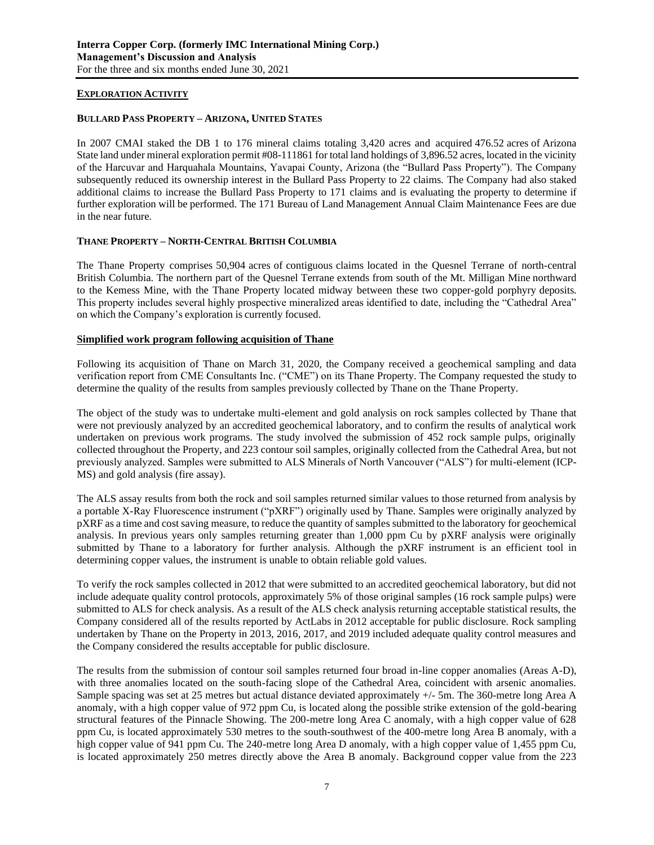# **EXPLORATION ACTIVITY**

# **BULLARD PASS PROPERTY – ARIZONA, UNITED STATES**

In 2007 CMAI staked the DB 1 to 176 mineral claims totaling 3,420 acres and acquired 476.52 acres of Arizona State land under mineral exploration permit #08-111861 for total land holdings of 3,896.52 acres, located in the vicinity of the Harcuvar and Harquahala Mountains, Yavapai County, Arizona (the "Bullard Pass Property"). The Company subsequently reduced its ownership interest in the Bullard Pass Property to 22 claims. The Company had also staked additional claims to increase the Bullard Pass Property to 171 claims and is evaluating the property to determine if further exploration will be performed. The 171 Bureau of Land Management Annual Claim Maintenance Fees are due in the near future.

# **THANE PROPERTY – NORTH-CENTRAL BRITISH COLUMBIA**

The Thane Property comprises 50,904 acres of contiguous claims located in the Quesnel Terrane of north-central British Columbia. The northern part of the Quesnel Terrane extends from south of the Mt. Milligan Mine northward to the Kemess Mine, with the Thane Property located midway between these two copper-gold porphyry deposits. This property includes several highly prospective mineralized areas identified to date, including the "Cathedral Area" on which the Company's exploration is currently focused.

# **Simplified work program following acquisition of Thane**

Following its acquisition of Thane on March 31, 2020, the Company received a geochemical sampling and data verification report from CME Consultants Inc. ("CME") on its Thane Property. The Company requested the study to determine the quality of the results from samples previously collected by Thane on the Thane Property.

The object of the study was to undertake multi-element and gold analysis on rock samples collected by Thane that were not previously analyzed by an accredited geochemical laboratory, and to confirm the results of analytical work undertaken on previous work programs. The study involved the submission of 452 rock sample pulps, originally collected throughout the Property, and 223 contour soil samples, originally collected from the Cathedral Area, but not previously analyzed. Samples were submitted to ALS Minerals of North Vancouver ("ALS") for multi-element (ICP-MS) and gold analysis (fire assay).

The ALS assay results from both the rock and soil samples returned similar values to those returned from analysis by a portable X-Ray Fluorescence instrument ("pXRF") originally used by Thane. Samples were originally analyzed by pXRF as a time and cost saving measure, to reduce the quantity of samples submitted to the laboratory for geochemical analysis. In previous years only samples returning greater than 1,000 ppm Cu by pXRF analysis were originally submitted by Thane to a laboratory for further analysis. Although the pXRF instrument is an efficient tool in determining copper values, the instrument is unable to obtain reliable gold values.

To verify the rock samples collected in 2012 that were submitted to an accredited geochemical laboratory, but did not include adequate quality control protocols, approximately 5% of those original samples (16 rock sample pulps) were submitted to ALS for check analysis. As a result of the ALS check analysis returning acceptable statistical results, the Company considered all of the results reported by ActLabs in 2012 acceptable for public disclosure. Rock sampling undertaken by Thane on the Property in 2013, 2016, 2017, and 2019 included adequate quality control measures and the Company considered the results acceptable for public disclosure.

The results from the submission of contour soil samples returned four broad in-line copper anomalies (Areas A-D), with three anomalies located on the south-facing slope of the Cathedral Area, coincident with arsenic anomalies. Sample spacing was set at 25 metres but actual distance deviated approximately +/- 5m. The 360-metre long Area A anomaly, with a high copper value of 972 ppm Cu, is located along the possible strike extension of the gold-bearing structural features of the Pinnacle Showing. The 200-metre long Area C anomaly, with a high copper value of 628 ppm Cu, is located approximately 530 metres to the south-southwest of the 400-metre long Area B anomaly, with a high copper value of 941 ppm Cu. The 240-metre long Area D anomaly, with a high copper value of 1,455 ppm Cu, is located approximately 250 metres directly above the Area B anomaly. Background copper value from the 223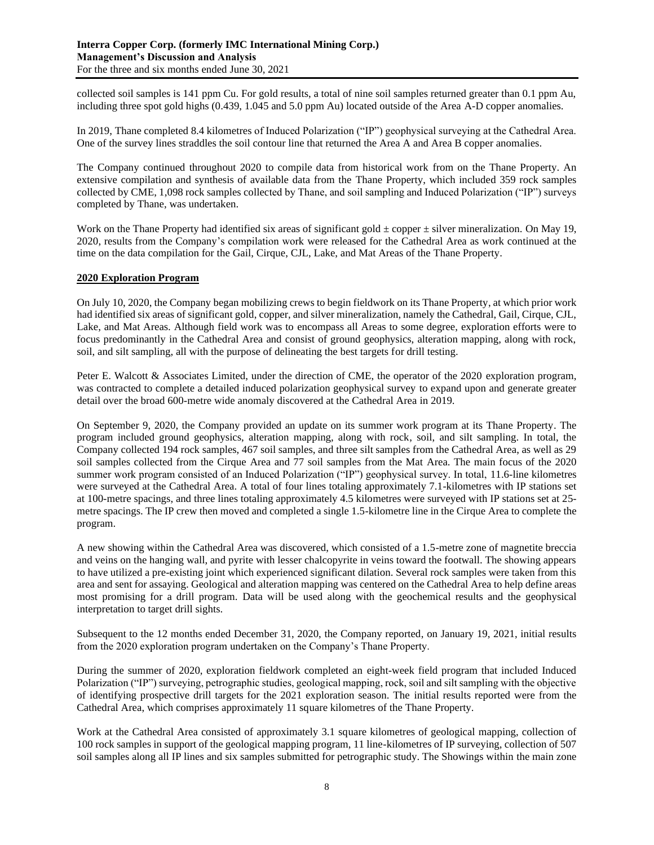collected soil samples is 141 ppm Cu. For gold results, a total of nine soil samples returned greater than 0.1 ppm Au, including three spot gold highs (0.439, 1.045 and 5.0 ppm Au) located outside of the Area A-D copper anomalies.

In 2019, Thane completed 8.4 kilometres of Induced Polarization ("IP") geophysical surveying at the Cathedral Area. One of the survey lines straddles the soil contour line that returned the Area A and Area B copper anomalies.

The Company continued throughout 2020 to compile data from historical work from on the Thane Property. An extensive compilation and synthesis of available data from the Thane Property, which included 359 rock samples collected by CME, 1,098 rock samples collected by Thane, and soil sampling and Induced Polarization ("IP") surveys completed by Thane, was undertaken.

Work on the Thane Property had identified six areas of significant gold  $\pm$  copper  $\pm$  silver mineralization. On May 19, 2020, results from the Company's compilation work were released for the Cathedral Area as work continued at the time on the data compilation for the Gail, Cirque, CJL, Lake, and Mat Areas of the Thane Property.

# **2020 Exploration Program**

On July 10, 2020, the Company began mobilizing crews to begin fieldwork on its Thane Property, at which prior work had identified six areas of significant gold, copper, and silver mineralization, namely the Cathedral, Gail, Cirque, CJL, Lake, and Mat Areas. Although field work was to encompass all Areas to some degree, exploration efforts were to focus predominantly in the Cathedral Area and consist of ground geophysics, alteration mapping, along with rock, soil, and silt sampling, all with the purpose of delineating the best targets for drill testing.

Peter E. Walcott & Associates Limited, under the direction of CME, the operator of the 2020 exploration program, was contracted to complete a detailed induced polarization geophysical survey to expand upon and generate greater detail over the broad 600-metre wide anomaly discovered at the Cathedral Area in 2019.

On September 9, 2020, the Company provided an update on its summer work program at its Thane Property. The program included ground geophysics, alteration mapping, along with rock, soil, and silt sampling. In total, the Company collected 194 rock samples, 467 soil samples, and three silt samples from the Cathedral Area, as well as 29 soil samples collected from the Cirque Area and 77 soil samples from the Mat Area. The main focus of the 2020 summer work program consisted of an Induced Polarization ("IP") geophysical survey. In total, 11.6-line kilometres were surveyed at the Cathedral Area. A total of four lines totaling approximately 7.1-kilometres with IP stations set at 100-metre spacings, and three lines totaling approximately 4.5 kilometres were surveyed with IP stations set at 25 metre spacings. The IP crew then moved and completed a single 1.5-kilometre line in the Cirque Area to complete the program.

A new showing within the Cathedral Area was discovered, which consisted of a 1.5-metre zone of magnetite breccia and veins on the hanging wall, and pyrite with lesser chalcopyrite in veins toward the footwall. The showing appears to have utilized a pre-existing joint which experienced significant dilation. Several rock samples were taken from this area and sent for assaying. Geological and alteration mapping was centered on the Cathedral Area to help define areas most promising for a drill program. Data will be used along with the geochemical results and the geophysical interpretation to target drill sights.

Subsequent to the 12 months ended December 31, 2020, the Company reported, on January 19, 2021, initial results from the 2020 exploration program undertaken on the Company's Thane Property.

During the summer of 2020, exploration fieldwork completed an eight-week field program that included Induced Polarization ("IP") surveying, petrographic studies, geological mapping, rock, soil and silt sampling with the objective of identifying prospective drill targets for the 2021 exploration season. The initial results reported were from the Cathedral Area, which comprises approximately 11 square kilometres of the Thane Property.

Work at the Cathedral Area consisted of approximately 3.1 square kilometres of geological mapping, collection of 100 rock samples in support of the geological mapping program, 11 line-kilometres of IP surveying, collection of 507 soil samples along all IP lines and six samples submitted for petrographic study. The Showings within the main zone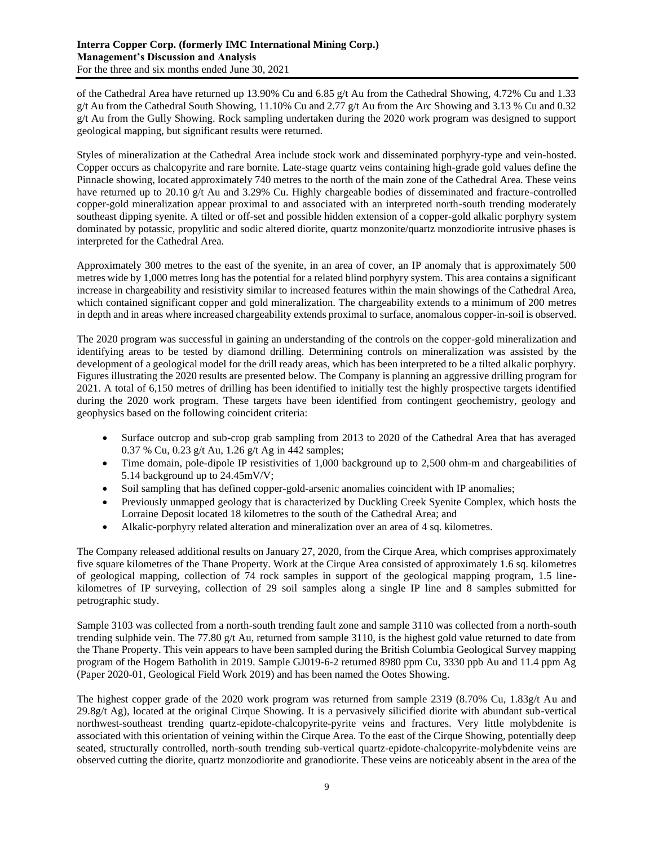of the Cathedral Area have returned up 13.90% Cu and 6.85 g/t Au from the Cathedral Showing, 4.72% Cu and 1.33 g/t Au from the Cathedral South Showing, 11.10% Cu and 2.77 g/t Au from the Arc Showing and 3.13 % Cu and 0.32 g/t Au from the Gully Showing. Rock sampling undertaken during the 2020 work program was designed to support geological mapping, but significant results were returned.

Styles of mineralization at the Cathedral Area include stock work and disseminated porphyry-type and vein-hosted. Copper occurs as chalcopyrite and rare bornite. Late-stage quartz veins containing high-grade gold values define the Pinnacle showing, located approximately 740 metres to the north of the main zone of the Cathedral Area. These veins have returned up to 20.10 g/t Au and 3.29% Cu. Highly chargeable bodies of disseminated and fracture-controlled copper-gold mineralization appear proximal to and associated with an interpreted north-south trending moderately southeast dipping syenite. A tilted or off-set and possible hidden extension of a copper-gold alkalic porphyry system dominated by potassic, propylitic and sodic altered diorite, quartz monzonite/quartz monzodiorite intrusive phases is interpreted for the Cathedral Area.

Approximately 300 metres to the east of the syenite, in an area of cover, an IP anomaly that is approximately 500 metres wide by 1,000 metres long has the potential for a related blind porphyry system. This area contains a significant increase in chargeability and resistivity similar to increased features within the main showings of the Cathedral Area, which contained significant copper and gold mineralization. The chargeability extends to a minimum of 200 metres in depth and in areas where increased chargeability extends proximal to surface, anomalous copper-in-soil is observed.

The 2020 program was successful in gaining an understanding of the controls on the copper-gold mineralization and identifying areas to be tested by diamond drilling. Determining controls on mineralization was assisted by the development of a geological model for the drill ready areas, which has been interpreted to be a tilted alkalic porphyry. Figures illustrating the 2020 results are presented below. The Company is planning an aggressive drilling program for 2021. A total of 6,150 metres of drilling has been identified to initially test the highly prospective targets identified during the 2020 work program. These targets have been identified from contingent geochemistry, geology and geophysics based on the following coincident criteria:

- Surface outcrop and sub-crop grab sampling from 2013 to 2020 of the Cathedral Area that has averaged 0.37 % Cu, 0.23 g/t Au, 1.26 g/t Ag in 442 samples;
- Time domain, pole-dipole IP resistivities of 1,000 background up to 2,500 ohm-m and chargeabilities of 5.14 background up to 24.45mV/V;
- Soil sampling that has defined copper-gold-arsenic anomalies coincident with IP anomalies;
- Previously unmapped geology that is characterized by Duckling Creek Syenite Complex, which hosts the Lorraine Deposit located 18 kilometres to the south of the Cathedral Area; and
- Alkalic-porphyry related alteration and mineralization over an area of 4 sq. kilometres.

The Company released additional results on January 27, 2020, from the Cirque Area, which comprises approximately five square kilometres of the Thane Property. Work at the Cirque Area consisted of approximately 1.6 sq. kilometres of geological mapping, collection of 74 rock samples in support of the geological mapping program, 1.5 linekilometres of IP surveying, collection of 29 soil samples along a single IP line and 8 samples submitted for petrographic study.

Sample 3103 was collected from a north-south trending fault zone and sample 3110 was collected from a north-south trending sulphide vein. The 77.80  $g/t$  Au, returned from sample 3110, is the highest gold value returned to date from the Thane Property. This vein appears to have been sampled during the British Columbia Geological Survey mapping program of the Hogem Batholith in 2019. Sample GJ019-6-2 returned 8980 ppm Cu, 3330 ppb Au and 11.4 ppm Ag (Paper 2020-01, Geological Field Work 2019) and has been named the Ootes Showing.

The highest copper grade of the 2020 work program was returned from sample 2319 (8.70% Cu, 1.83g/t Au and  $29.8g/t$  Ag), located at the original Cirque Showing. It is a pervasively silicified diorite with abundant sub-vertical northwest-southeast trending quartz-epidote-chalcopyrite-pyrite veins and fractures. Very little molybdenite is associated with this orientation of veining within the Cirque Area. To the east of the Cirque Showing, potentially deep seated, structurally controlled, north-south trending sub-vertical quartz-epidote-chalcopyrite-molybdenite veins are observed cutting the diorite, quartz monzodiorite and granodiorite. These veins are noticeably absent in the area of the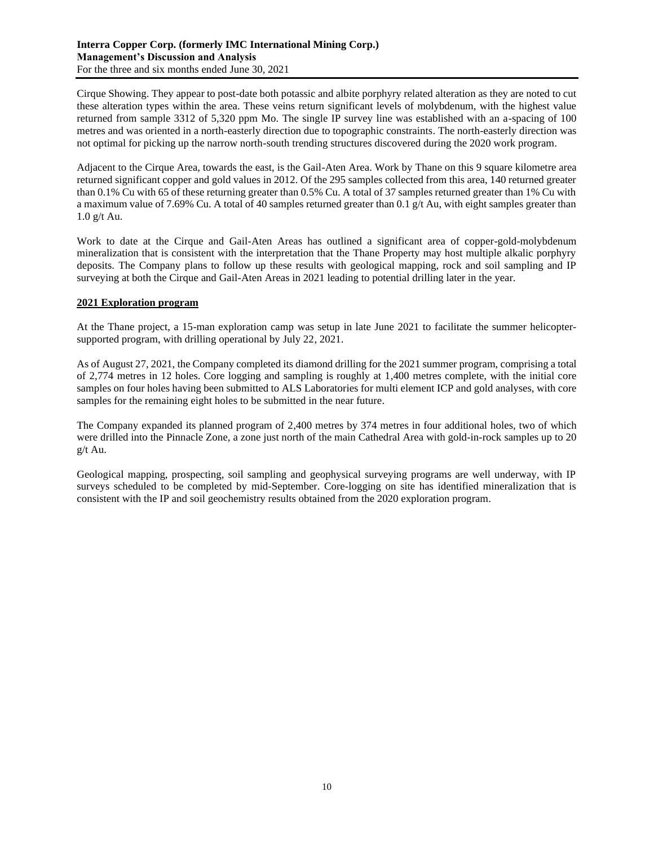Cirque Showing. They appear to post-date both potassic and albite porphyry related alteration as they are noted to cut these alteration types within the area. These veins return significant levels of molybdenum, with the highest value returned from sample 3312 of 5,320 ppm Mo. The single IP survey line was established with an a-spacing of 100 metres and was oriented in a north-easterly direction due to topographic constraints. The north-easterly direction was not optimal for picking up the narrow north-south trending structures discovered during the 2020 work program.

Adjacent to the Cirque Area, towards the east, is the Gail-Aten Area. Work by Thane on this 9 square kilometre area returned significant copper and gold values in 2012. Of the 295 samples collected from this area, 140 returned greater than 0.1% Cu with 65 of these returning greater than 0.5% Cu. A total of 37 samples returned greater than 1% Cu with a maximum value of 7.69% Cu. A total of 40 samples returned greater than 0.1 g/t Au, with eight samples greater than 1.0 g/t Au.

Work to date at the Cirque and Gail-Aten Areas has outlined a significant area of copper-gold-molybdenum mineralization that is consistent with the interpretation that the Thane Property may host multiple alkalic porphyry deposits. The Company plans to follow up these results with geological mapping, rock and soil sampling and IP surveying at both the Cirque and Gail-Aten Areas in 2021 leading to potential drilling later in the year.

# **2021 Exploration program**

At the Thane project, a 15-man exploration camp was setup in late June 2021 to facilitate the summer helicoptersupported program, with drilling operational by July 22, 2021.

As of August 27, 2021, the Company completed its diamond drilling for the 2021 summer program, comprising a total of 2,774 metres in 12 holes. Core logging and sampling is roughly at 1,400 metres complete, with the initial core samples on four holes having been submitted to ALS Laboratories for multi element ICP and gold analyses, with core samples for the remaining eight holes to be submitted in the near future.

The Company expanded its planned program of 2,400 metres by 374 metres in four additional holes, two of which were drilled into the Pinnacle Zone, a zone just north of the main Cathedral Area with gold-in-rock samples up to 20 g/t Au.

Geological mapping, prospecting, soil sampling and geophysical surveying programs are well underway, with IP surveys scheduled to be completed by mid-September. Core-logging on site has identified mineralization that is consistent with the IP and soil geochemistry results obtained from the 2020 exploration program.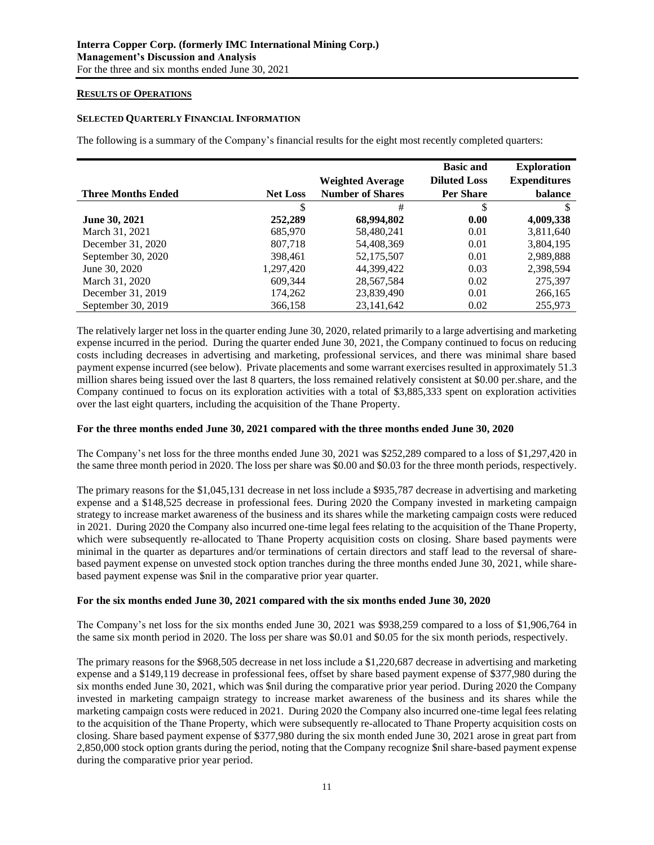# **RESULTS OF OPERATIONS**

# **SELECTED QUARTERLY FINANCIAL INFORMATION**

The following is a summary of the Company's financial results for the eight most recently completed quarters:

|                           |                 |                         | <b>Basic and</b>    | <b>Exploration</b>  |
|---------------------------|-----------------|-------------------------|---------------------|---------------------|
|                           |                 | <b>Weighted Average</b> | <b>Diluted Loss</b> | <b>Expenditures</b> |
| <b>Three Months Ended</b> | <b>Net Loss</b> | <b>Number of Shares</b> | <b>Per Share</b>    | balance             |
|                           |                 | #                       | \$                  |                     |
| <b>June 30, 2021</b>      | 252,289         | 68,994,802              | 0.00                | 4,009,338           |
| March 31, 2021            | 685,970         | 58,480,241              | 0.01                | 3,811,640           |
| December 31, 2020         | 807,718         | 54,408,369              | 0.01                | 3,804,195           |
| September 30, 2020        | 398,461         | 52,175,507              | 0.01                | 2,989,888           |
| June 30, 2020             | 1,297,420       | 44,399,422              | 0.03                | 2,398,594           |
| March 31, 2020            | 609,344         | 28,567,584              | 0.02                | 275,397             |
| December 31, 2019         | 174,262         | 23,839,490              | 0.01                | 266,165             |
| September 30, 2019        | 366.158         | 23.141.642              | 0.02                | 255,973             |

The relatively larger net loss in the quarter ending June 30, 2020, related primarily to a large advertising and marketing expense incurred in the period. During the quarter ended June 30, 2021, the Company continued to focus on reducing costs including decreases in advertising and marketing, professional services, and there was minimal share based payment expense incurred (see below). Private placements and some warrant exercises resulted in approximately 51.3 million shares being issued over the last 8 quarters, the loss remained relatively consistent at \$0.00 per.share, and the Company continued to focus on its exploration activities with a total of \$3,885,333 spent on exploration activities over the last eight quarters, including the acquisition of the Thane Property.

# **For the three months ended June 30, 2021 compared with the three months ended June 30, 2020**

The Company's net loss for the three months ended June 30, 2021 was \$252,289 compared to a loss of \$1,297,420 in the same three month period in 2020. The loss per share was \$0.00 and \$0.03 for the three month periods, respectively.

The primary reasons for the \$1,045,131 decrease in net loss include a \$935,787 decrease in advertising and marketing expense and a \$148,525 decrease in professional fees. During 2020 the Company invested in marketing campaign strategy to increase market awareness of the business and its shares while the marketing campaign costs were reduced in 2021. During 2020 the Company also incurred one-time legal fees relating to the acquisition of the Thane Property, which were subsequently re-allocated to Thane Property acquisition costs on closing. Share based payments were minimal in the quarter as departures and/or terminations of certain directors and staff lead to the reversal of sharebased payment expense on unvested stock option tranches during the three months ended June 30, 2021, while sharebased payment expense was \$nil in the comparative prior year quarter.

### **For the six months ended June 30, 2021 compared with the six months ended June 30, 2020**

The Company's net loss for the six months ended June 30, 2021 was \$938,259 compared to a loss of \$1,906,764 in the same six month period in 2020. The loss per share was \$0.01 and \$0.05 for the six month periods, respectively.

The primary reasons for the \$968,505 decrease in net loss include a \$1,220,687 decrease in advertising and marketing expense and a \$149,119 decrease in professional fees, offset by share based payment expense of \$377,980 during the six months ended June 30, 2021, which was \$nil during the comparative prior year period. During 2020 the Company invested in marketing campaign strategy to increase market awareness of the business and its shares while the marketing campaign costs were reduced in 2021. During 2020 the Company also incurred one-time legal fees relating to the acquisition of the Thane Property, which were subsequently re-allocated to Thane Property acquisition costs on closing. Share based payment expense of \$377,980 during the six month ended June 30, 2021 arose in great part from 2,850,000 stock option grants during the period, noting that the Company recognize \$nil share-based payment expense during the comparative prior year period.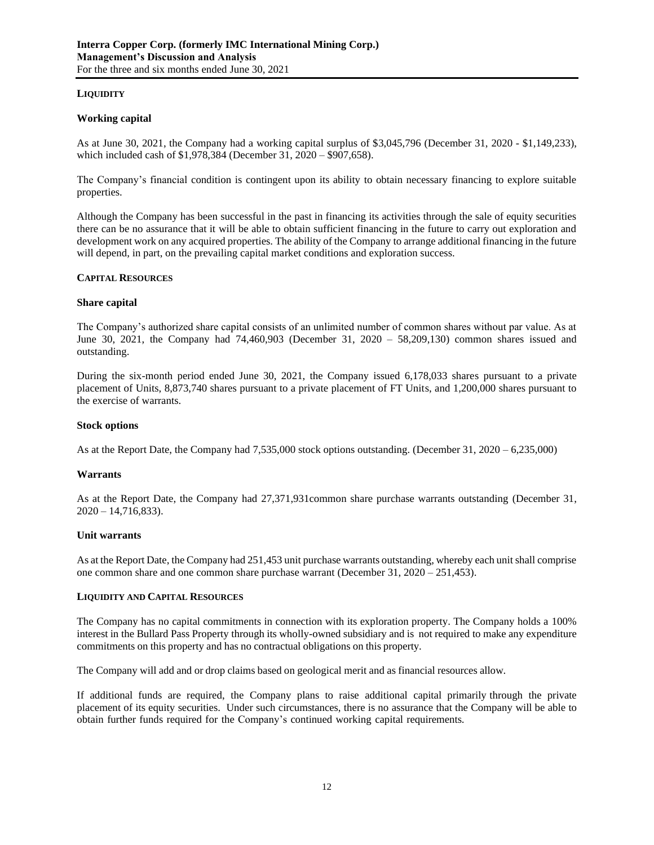# **LIQUIDITY**

# **Working capital**

As at June 30, 2021, the Company had a working capital surplus of \$3,045,796 (December 31, 2020 - \$1,149,233), which included cash of \$1,978,384 (December 31, 2020 – \$907,658).

The Company's financial condition is contingent upon its ability to obtain necessary financing to explore suitable properties.

Although the Company has been successful in the past in financing its activities through the sale of equity securities there can be no assurance that it will be able to obtain sufficient financing in the future to carry out exploration and development work on any acquired properties. The ability of the Company to arrange additional financing in the future will depend, in part, on the prevailing capital market conditions and exploration success.

# **CAPITAL RESOURCES**

### **Share capital**

The Company's authorized share capital consists of an unlimited number of common shares without par value. As at June 30, 2021, the Company had 74,460,903 (December 31, 2020 – 58,209,130) common shares issued and outstanding.

During the six-month period ended June 30, 2021, the Company issued 6,178,033 shares pursuant to a private placement of Units, 8,873,740 shares pursuant to a private placement of FT Units, and 1,200,000 shares pursuant to the exercise of warrants.

### **Stock options**

As at the Report Date, the Company had 7,535,000 stock options outstanding. (December 31, 2020 – 6,235,000)

### **Warrants**

As at the Report Date, the Company had 27,371,931common share purchase warrants outstanding (December 31,  $2020 - 14,716,833$ ).

# **Unit warrants**

As at the Report Date, the Company had 251,453 unit purchase warrants outstanding, whereby each unit shall comprise one common share and one common share purchase warrant (December 31, 2020 – 251,453).

### **LIQUIDITY AND CAPITAL RESOURCES**

The Company has no capital commitments in connection with its exploration property. The Company holds a 100% interest in the Bullard Pass Property through its wholly-owned subsidiary and is not required to make any expenditure commitments on this property and has no contractual obligations on this property.

The Company will add and or drop claims based on geological merit and as financial resources allow.

If additional funds are required, the Company plans to raise additional capital primarily through the private placement of its equity securities. Under such circumstances, there is no assurance that the Company will be able to obtain further funds required for the Company's continued working capital requirements.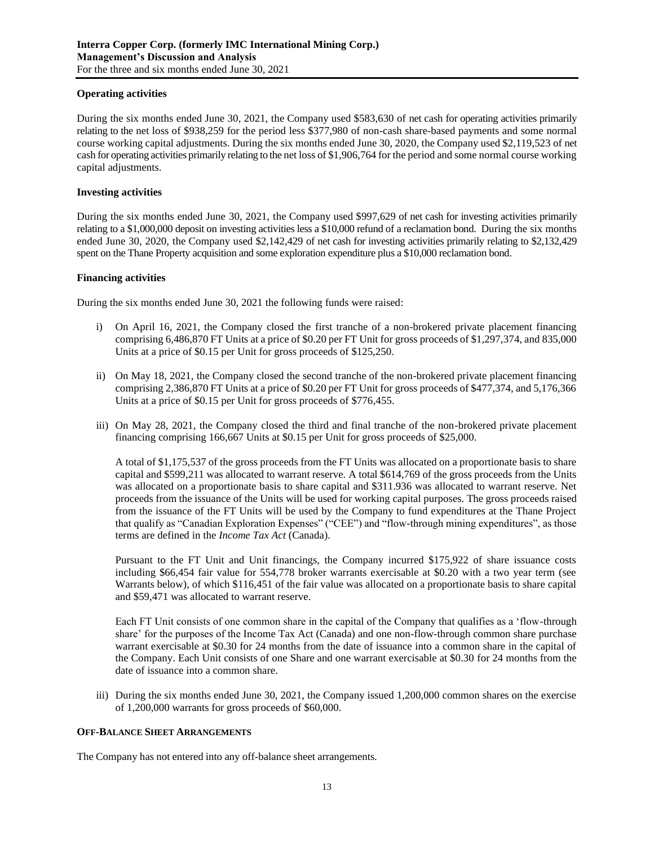# **Operating activities**

During the six months ended June 30, 2021, the Company used \$583,630 of net cash for operating activities primarily relating to the net loss of \$938,259 for the period less \$377,980 of non-cash share-based payments and some normal course working capital adjustments. During the six months ended June 30, 2020, the Company used \$2,119,523 of net cash for operating activities primarily relating to the net loss of \$1,906,764 for the period and some normal course working capital adjustments.

# **Investing activities**

During the six months ended June 30, 2021, the Company used \$997,629 of net cash for investing activities primarily relating to a \$1,000,000 deposit on investing activities less a \$10,000 refund of a reclamation bond. During the six months ended June 30, 2020, the Company used \$2,142,429 of net cash for investing activities primarily relating to \$2,132,429 spent on the Thane Property acquisition and some exploration expenditure plus a \$10,000 reclamation bond.

# **Financing activities**

During the six months ended June 30, 2021 the following funds were raised:

- i) On April 16, 2021, the Company closed the first tranche of a non-brokered private placement financing comprising 6,486,870 FT Units at a price of \$0.20 per FT Unit for gross proceeds of \$1,297,374, and 835,000 Units at a price of \$0.15 per Unit for gross proceeds of \$125,250.
- ii) On May 18, 2021, the Company closed the second tranche of the non-brokered private placement financing comprising 2,386,870 FT Units at a price of \$0.20 per FT Unit for gross proceeds of \$477,374, and 5,176,366 Units at a price of \$0.15 per Unit for gross proceeds of \$776,455.
- iii) On May 28, 2021, the Company closed the third and final tranche of the non-brokered private placement financing comprising 166,667 Units at \$0.15 per Unit for gross proceeds of \$25,000.

A total of \$1,175,537 of the gross proceeds from the FT Units was allocated on a proportionate basis to share capital and \$599,211 was allocated to warrant reserve. A total \$614,769 of the gross proceeds from the Units was allocated on a proportionate basis to share capital and \$311.936 was allocated to warrant reserve. Net proceeds from the issuance of the Units will be used for working capital purposes. The gross proceeds raised from the issuance of the FT Units will be used by the Company to fund expenditures at the Thane Project that qualify as "Canadian Exploration Expenses" ("CEE") and "flow-through mining expenditures", as those terms are defined in the *Income Tax Act* (Canada).

Pursuant to the FT Unit and Unit financings, the Company incurred \$175,922 of share issuance costs including \$66,454 fair value for 554,778 broker warrants exercisable at \$0.20 with a two year term (see Warrants below), of which \$116,451 of the fair value was allocated on a proportionate basis to share capital and \$59,471 was allocated to warrant reserve.

Each FT Unit consists of one common share in the capital of the Company that qualifies as a 'flow-through share' for the purposes of the Income Tax Act (Canada) and one non-flow-through common share purchase warrant exercisable at \$0.30 for 24 months from the date of issuance into a common share in the capital of the Company. Each Unit consists of one Share and one warrant exercisable at \$0.30 for 24 months from the date of issuance into a common share.

iii) During the six months ended June 30, 2021, the Company issued 1,200,000 common shares on the exercise of 1,200,000 warrants for gross proceeds of \$60,000.

### **OFF-BALANCE SHEET ARRANGEMENTS**

The Company has not entered into any off-balance sheet arrangements.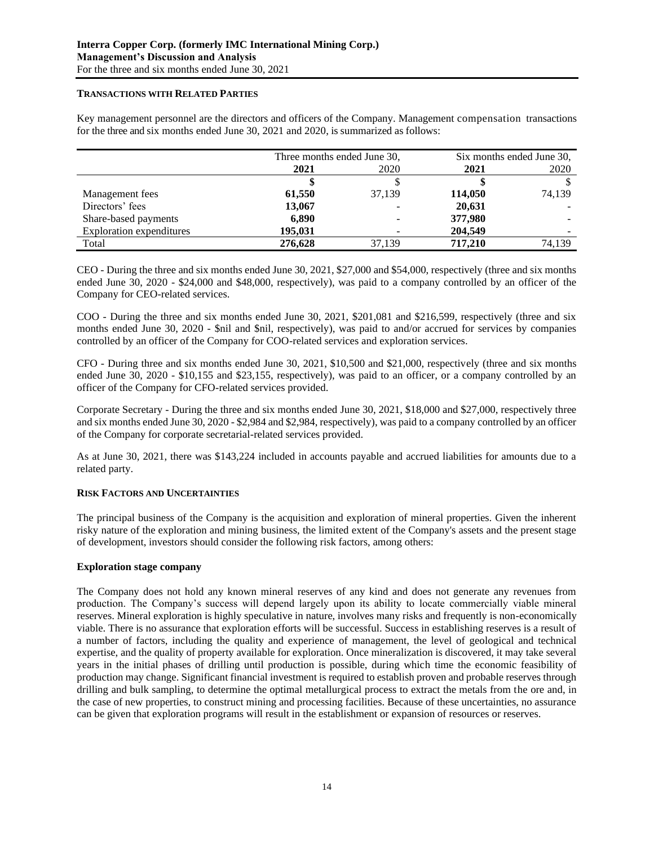# **TRANSACTIONS WITH RELATED PARTIES**

Key management personnel are the directors and officers of the Company. Management compensation transactions for the three and six months ended June 30, 2021 and 2020, is summarized as follows:

|                                 | Three months ended June 30, |        | Six months ended June 30, |        |
|---------------------------------|-----------------------------|--------|---------------------------|--------|
|                                 | 2021                        | 2020   | 2021                      | 2020   |
|                                 |                             |        |                           |        |
| Management fees                 | 61,550                      | 37,139 | 114,050                   | 74,139 |
| Directors' fees                 | 13,067                      |        | 20,631                    |        |
| Share-based payments            | 6,890                       |        | 377,980                   |        |
| <b>Exploration expenditures</b> | 195,031                     |        | 204,549                   |        |
| Total                           | 276,628                     | 37,139 | 717,210                   | 74,139 |

CEO - During the three and six months ended June 30, 2021, \$27,000 and \$54,000, respectively (three and six months ended June 30, 2020 - \$24,000 and \$48,000, respectively), was paid to a company controlled by an officer of the Company for CEO-related services.

COO - During the three and six months ended June 30, 2021, \$201,081 and \$216,599, respectively (three and six months ended June 30, 2020 - \$nil and \$nil, respectively), was paid to and/or accrued for services by companies controlled by an officer of the Company for COO-related services and exploration services.

CFO - During three and six months ended June 30, 2021, \$10,500 and \$21,000, respectively (three and six months ended June 30, 2020 - \$10,155 and \$23,155, respectively), was paid to an officer, or a company controlled by an officer of the Company for CFO-related services provided.

Corporate Secretary - During the three and six months ended June 30, 2021, \$18,000 and \$27,000, respectively three and six months ended June 30, 2020 - \$2,984 and \$2,984, respectively), was paid to a company controlled by an officer of the Company for corporate secretarial-related services provided.

As at June 30, 2021, there was \$143,224 included in accounts payable and accrued liabilities for amounts due to a related party.

# **RISK FACTORS AND UNCERTAINTIES**

The principal business of the Company is the acquisition and exploration of mineral properties. Given the inherent risky nature of the exploration and mining business, the limited extent of the Company's assets and the present stage of development, investors should consider the following risk factors, among others:

### **Exploration stage company**

The Company does not hold any known mineral reserves of any kind and does not generate any revenues from production. The Company's success will depend largely upon its ability to locate commercially viable mineral reserves. Mineral exploration is highly speculative in nature, involves many risks and frequently is non-economically viable. There is no assurance that exploration efforts will be successful. Success in establishing reserves is a result of a number of factors, including the quality and experience of management, the level of geological and technical expertise, and the quality of property available for exploration. Once mineralization is discovered, it may take several years in the initial phases of drilling until production is possible, during which time the economic feasibility of production may change. Significant financial investment is required to establish proven and probable reserves through drilling and bulk sampling, to determine the optimal metallurgical process to extract the metals from the ore and, in the case of new properties, to construct mining and processing facilities. Because of these uncertainties, no assurance can be given that exploration programs will result in the establishment or expansion of resources or reserves.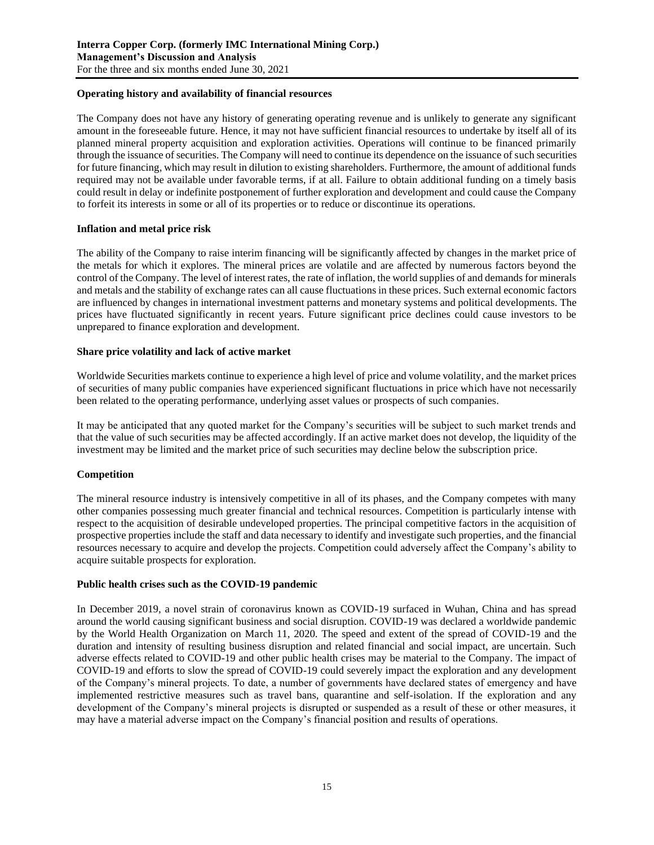# **Operating history and availability of financial resources**

The Company does not have any history of generating operating revenue and is unlikely to generate any significant amount in the foreseeable future. Hence, it may not have sufficient financial resources to undertake by itself all of its planned mineral property acquisition and exploration activities. Operations will continue to be financed primarily through the issuance of securities. The Company will need to continue its dependence on the issuance of such securities for future financing, which may result in dilution to existing shareholders. Furthermore, the amount of additional funds required may not be available under favorable terms, if at all. Failure to obtain additional funding on a timely basis could result in delay or indefinite postponement of further exploration and development and could cause the Company to forfeit its interests in some or all of its properties or to reduce or discontinue its operations.

# **Inflation and metal price risk**

The ability of the Company to raise interim financing will be significantly affected by changes in the market price of the metals for which it explores. The mineral prices are volatile and are affected by numerous factors beyond the control of the Company. The level of interest rates, the rate of inflation, the world supplies of and demands for minerals and metals and the stability of exchange rates can all cause fluctuations in these prices. Such external economic factors are influenced by changes in international investment patterns and monetary systems and political developments. The prices have fluctuated significantly in recent years. Future significant price declines could cause investors to be unprepared to finance exploration and development.

# **Share price volatility and lack of active market**

Worldwide Securities markets continue to experience a high level of price and volume volatility, and the market prices of securities of many public companies have experienced significant fluctuations in price which have not necessarily been related to the operating performance, underlying asset values or prospects of such companies.

It may be anticipated that any quoted market for the Company's securities will be subject to such market trends and that the value of such securities may be affected accordingly. If an active market does not develop, the liquidity of the investment may be limited and the market price of such securities may decline below the subscription price.

# **Competition**

The mineral resource industry is intensively competitive in all of its phases, and the Company competes with many other companies possessing much greater financial and technical resources. Competition is particularly intense with respect to the acquisition of desirable undeveloped properties. The principal competitive factors in the acquisition of prospective properties include the staff and data necessary to identify and investigate such properties, and the financial resources necessary to acquire and develop the projects. Competition could adversely affect the Company's ability to acquire suitable prospects for exploration.

### **Public health crises such as the COVID-19 pandemic**

In December 2019, a novel strain of coronavirus known as COVID-19 surfaced in Wuhan, China and has spread around the world causing significant business and social disruption. COVID-19 was declared a worldwide pandemic by the World Health Organization on March 11, 2020. The speed and extent of the spread of COVID-19 and the duration and intensity of resulting business disruption and related financial and social impact, are uncertain. Such adverse effects related to COVID-19 and other public health crises may be material to the Company. The impact of COVID-19 and efforts to slow the spread of COVID-19 could severely impact the exploration and any development of the Company's mineral projects. To date, a number of governments have declared states of emergency and have implemented restrictive measures such as travel bans, quarantine and self-isolation. If the exploration and any development of the Company's mineral projects is disrupted or suspended as a result of these or other measures, it may have a material adverse impact on the Company's financial position and results of operations.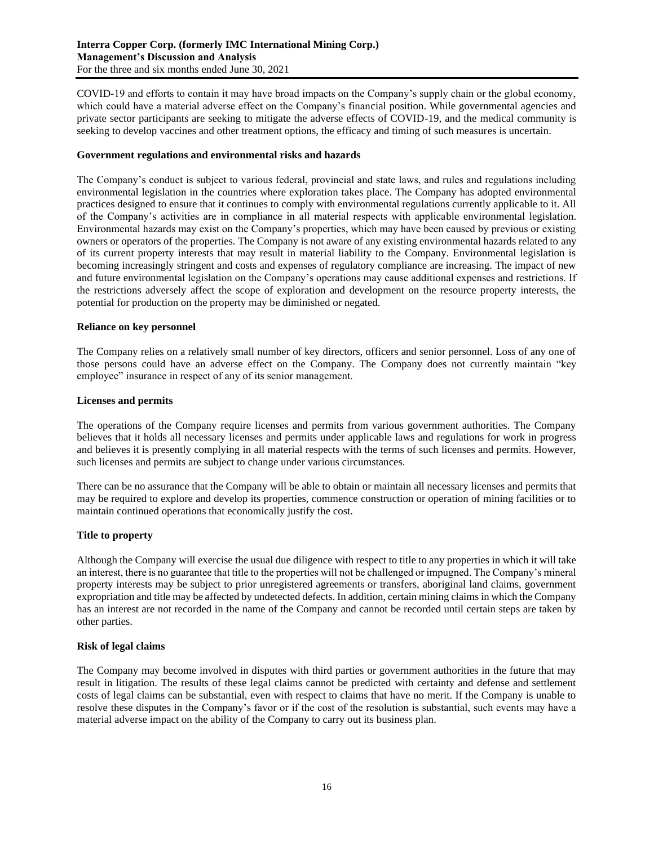COVID-19 and efforts to contain it may have broad impacts on the Company's supply chain or the global economy, which could have a material adverse effect on the Company's financial position. While governmental agencies and private sector participants are seeking to mitigate the adverse effects of COVID-19, and the medical community is seeking to develop vaccines and other treatment options, the efficacy and timing of such measures is uncertain.

## **Government regulations and environmental risks and hazards**

The Company's conduct is subject to various federal, provincial and state laws, and rules and regulations including environmental legislation in the countries where exploration takes place. The Company has adopted environmental practices designed to ensure that it continues to comply with environmental regulations currently applicable to it. All of the Company's activities are in compliance in all material respects with applicable environmental legislation. Environmental hazards may exist on the Company's properties, which may have been caused by previous or existing owners or operators of the properties. The Company is not aware of any existing environmental hazards related to any of its current property interests that may result in material liability to the Company. Environmental legislation is becoming increasingly stringent and costs and expenses of regulatory compliance are increasing. The impact of new and future environmental legislation on the Company's operations may cause additional expenses and restrictions. If the restrictions adversely affect the scope of exploration and development on the resource property interests, the potential for production on the property may be diminished or negated.

### **Reliance on key personnel**

The Company relies on a relatively small number of key directors, officers and senior personnel. Loss of any one of those persons could have an adverse effect on the Company. The Company does not currently maintain "key employee" insurance in respect of any of its senior management.

### **Licenses and permits**

The operations of the Company require licenses and permits from various government authorities. The Company believes that it holds all necessary licenses and permits under applicable laws and regulations for work in progress and believes it is presently complying in all material respects with the terms of such licenses and permits. However, such licenses and permits are subject to change under various circumstances.

There can be no assurance that the Company will be able to obtain or maintain all necessary licenses and permits that may be required to explore and develop its properties, commence construction or operation of mining facilities or to maintain continued operations that economically justify the cost.

# **Title to property**

Although the Company will exercise the usual due diligence with respect to title to any properties in which it will take an interest, there is no guarantee that title to the properties will not be challenged or impugned. The Company's mineral property interests may be subject to prior unregistered agreements or transfers, aboriginal land claims, government expropriation and title may be affected by undetected defects. In addition, certain mining claims in which the Company has an interest are not recorded in the name of the Company and cannot be recorded until certain steps are taken by other parties.

## **Risk of legal claims**

The Company may become involved in disputes with third parties or government authorities in the future that may result in litigation. The results of these legal claims cannot be predicted with certainty and defense and settlement costs of legal claims can be substantial, even with respect to claims that have no merit. If the Company is unable to resolve these disputes in the Company's favor or if the cost of the resolution is substantial, such events may have a material adverse impact on the ability of the Company to carry out its business plan.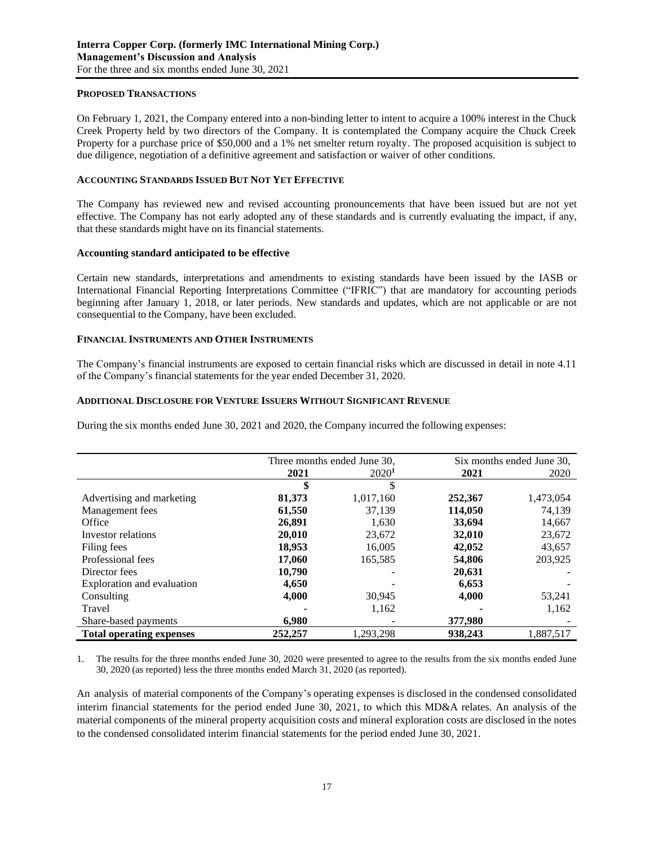### **PROPOSED TRANSACTIONS**

On February 1, 2021, the Company entered into a non-binding letter to intent to acquire a 100% interest in the Chuck Creek Property held by two directors of the Company. It is contemplated the Company acquire the Chuck Creek Property for a purchase price of \$50,000 and a 1% net smelter return royalty. The proposed acquisition is subject to due diligence, negotiation of a definitive agreement and satisfaction or waiver of other conditions.

#### **ACCOUNTING STANDARDS ISSUED BUT NOT YET EFFECTIVE**

The Company has reviewed new and revised accounting pronouncements that have been issued but are not yet effective. The Company has not early adopted any of these standards and is currently evaluating the impact, if any, that these standards might have on its financial statements.

#### **Accounting standard anticipated to be effective**

Certain new standards, interpretations and amendments to existing standards have been issued by the IASB or International Financial Reporting Interpretations Committee ("IFRIC") that are mandatory for accounting periods beginning after January 1, 2018, or later periods. New standards and updates, which are not applicable or are not consequential to the Company, have been excluded.

#### **FINANCIAL INSTRUMENTS AND OTHER INSTRUMENTS**

The Company's financial instruments are exposed to certain financial risks which are discussed in detail in note 4.11 of the Company's financial statements for the year ended December 31, 2020.

### **ADDITIONAL DISCLOSURE FOR VENTURE ISSUERS WITHOUT SIGNIFICANT REVENUE**

During the six months ended June 30, 2021 and 2020, the Company incurred the following expenses:

|                                 | Three months ended June 30, |                   | Six months ended June 30, |           |
|---------------------------------|-----------------------------|-------------------|---------------------------|-----------|
|                                 | 2021                        | 2020 <sup>1</sup> | 2021                      | 2020      |
|                                 | \$                          |                   |                           |           |
| Advertising and marketing       | 81,373                      | 1,017,160         | 252,367                   | 1,473,054 |
| Management fees                 | 61,550                      | 37,139            | 114,050                   | 74,139    |
| Office                          | 26,891                      | 1,630             | 33,694                    | 14,667    |
| Investor relations              | 20,010                      | 23,672            | 32,010                    | 23,672    |
| Filing fees                     | 18,953                      | 16.005            | 42,052                    | 43,657    |
| Professional fees               | 17,060                      | 165,585           | 54,806                    | 203,925   |
| Director fees                   | 10,790                      |                   | 20,631                    |           |
| Exploration and evaluation      | 4,650                       |                   | 6,653                     |           |
| Consulting                      | 4,000                       | 30,945            | 4,000                     | 53,241    |
| Travel                          |                             | 1,162             |                           | 1,162     |
| Share-based payments            | 6,980                       |                   | 377,980                   |           |
| <b>Total operating expenses</b> | 252,257                     | 1,293,298         | 938.243                   | 1,887,517 |

1. The results for the three months ended June 30, 2020 were presented to agree to the results from the six months ended June 30, 2020 (as reported) less the three months ended March 31, 2020 (as reported).

An analysis of material components of the Company's operating expenses is disclosed in the condensed consolidated interim financial statements for the period ended June 30, 2021, to which this MD&A relates. An analysis of the material components of the mineral property acquisition costs and mineral exploration costs are disclosed in the notes to the condensed consolidated interim financial statements for the period ended June 30, 2021.